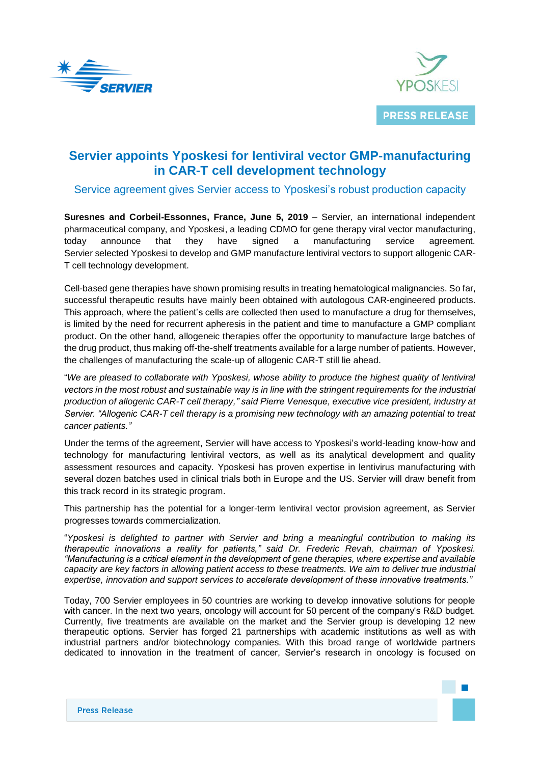



# **Servier appoints Yposkesi for lentiviral vector GMP-manufacturing in CAR-T cell development technology**

# Service agreement gives Servier access to Yposkesi's robust production capacity

**Suresnes and Corbeil-Essonnes, France, June 5, 2019** – Servier, an international independent pharmaceutical company, and Yposkesi, a leading CDMO for gene therapy viral vector manufacturing, today announce that they have signed a manufacturing service agreement. Servier selected Yposkesi to develop and GMP manufacture lentiviral vectors to support allogenic CAR-T cell technology development.

Cell-based gene therapies have shown promising results in treating hematological malignancies. So far, successful therapeutic results have mainly been obtained with autologous CAR-engineered products. This approach, where the patient's cells are collected then used to manufacture a drug for themselves, is limited by the need for recurrent apheresis in the patient and time to manufacture a GMP compliant product. On the other hand, allogeneic therapies offer the opportunity to manufacture large batches of the drug product, thus making off-the-shelf treatments available for a large number of patients. However, the challenges of manufacturing the scale-up of allogenic CAR-T still lie ahead.

"*We are pleased to collaborate with Yposkesi, whose ability to produce the highest quality of lentiviral vectors in the most robust and sustainable way is in line with the stringent requirements for the industrial production of allogenic CAR-T cell therapy," said Pierre Venesque, executive vice president, industry at Servier. "Allogenic CAR-T cell therapy is a promising new technology with an amazing potential to treat cancer patients."*

Under the terms of the agreement, Servier will have access to Yposkesi's world-leading know-how and technology for manufacturing lentiviral vectors, as well as its analytical development and quality assessment resources and capacity. Yposkesi has proven expertise in lentivirus manufacturing with several dozen batches used in clinical trials both in Europe and the US. Servier will draw benefit from this track record in its strategic program.

This partnership has the potential for a longer-term lentiviral vector provision agreement, as Servier progresses towards commercialization.

"*Yposkesi is delighted to partner with Servier and bring a meaningful contribution to making its therapeutic innovations a reality for patients," said Dr. Frederic Revah, chairman of Yposkesi. "Manufacturing is a critical element in the development of gene therapies, where expertise and available capacity are key factors in allowing patient access to these treatments. We aim to deliver true industrial expertise, innovation and support services to accelerate development of these innovative treatments."*

Today, 700 Servier employees in 50 countries are working to develop innovative solutions for people with cancer. In the next two years, oncology will account for 50 percent of the company's R&D budget. Currently, five treatments are available on the market and the Servier group is developing 12 new therapeutic options. Servier has forged 21 partnerships with academic institutions as well as with industrial partners and/or biotechnology companies. With this broad range of worldwide partners dedicated to innovation in the treatment of cancer, Servier's research in oncology is focused on